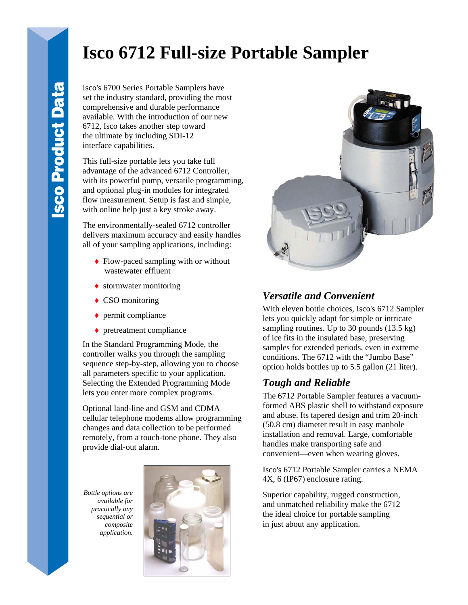# **Isco 6712 Full-size Portable Sampler**

Isco's 6700 Series Portable Samplers have set the industry standard, providing the most comprehensive and durable performance available. With the introduction of our new 6712, Isco takes another step toward the ultimate by including SDI-12 interface capabilities.

This full-size portable lets you take full advantage of the advanced 6712 Controller, with its powerful pump, versatile programming, and optional plug-in modules for integrated flow measurement. Setup is fast and simple, with online help just a key stroke away.

The environmentally-sealed 6712 controller delivers maximum accuracy and easily handles all of your sampling applications, including:

- ♦ Flow-paced sampling with or without wastewater effluent
- ◆ stormwater monitoring
- $\triangle$  CSO monitoring
- ◆ permit compliance
- ♦ pretreatment compliance

In the Standard Programming Mode, the controller walks you through the sampling sequence step-by-step, allowing you to choose all parameters specific to your application. Selecting the Extended Programming Mode lets you enter more complex programs.

Optional land-line and GSM and CDMA cellular telephone modems allow programming changes and data collection to be performed remotely, from a touch-tone phone. They also provide dial-out alarm.

*Bottle options are available for practically any sequential or composite application.* 





#### *Versatile and Convenient*

With eleven bottle choices, Isco's 6712 Sampler lets you quickly adapt for simple or intricate sampling routines. Up to 30 pounds (13.5 kg) of ice fits in the insulated base, preserving samples for extended periods, even in extreme conditions. The 6712 with the "Jumbo Base" option holds bottles up to 5.5 gallon (21 liter).

### *Tough and Reliable*

The 6712 Portable Sampler features a vacuumformed ABS plastic shell to withstand exposure and abuse. Its tapered design and trim 20-inch (50.8 cm) diameter result in easy manhole installation and removal. Large, comfortable handles make transporting safe and convenient—even when wearing gloves.

Isco's 6712 Portable Sampler carries a NEMA 4X, 6 (IP67) enclosure rating.

Superior capability, rugged construction, and unmatched reliability make the 6712 the ideal choice for portable sampling in just about any application.